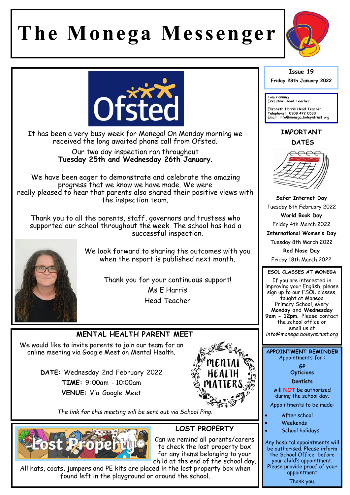# **The Monega Messenger**





It has been a very busy week for Monega! On Monday morning we received the long awaited phone call from Ofsted.

> Our two day inspection ran throughout **Tuesday 25th and Wednesday 26th January**.

We have been eager to demonstrate and celebrate the amazing progress that we know we have made. We were really pleased to hear that parents also shared their positive views with the inspection team.

Thank you to all the parents, staff, governors and trustees who supported our school throughout the week. The school has had a successful inspection.



We look forward to sharing the outcomes with you when the report is published next month.

> Thank you for your continuous support! Ms E Harris Head Teacher

## **MENTAL HEALTH PARENT MEET**

We would like to invite parents to join our team for an online meeting via Google Meet on Mental Health.

> **DATE:** Wednesday 2nd February 2022 **TIME:** 9:00am - 10:00am **VENUE:** Via Google Meet



*The link for this meeting will be sent out via School Ping.* 



# **LOST PROPERTY**

Can we remind all parents/carers to check the lost property box for any items belonging to your child at the end of the school day.

All hats, coats, jumpers and PE kits are placed in the lost property box when found left in the playground or around the school.

#### **Issue 19 Friday 28th January 2022**

**Tom Canning Executive Head Teacher**

**Elizabeth Harris Head Teacher Telephone: 0208 472 0533 Email info@monega.boleyntrust.org** 

### **IMPORTANT DATES**



**Safer Internet Day**  Tuesday 8th February 2022 **World Book Day**  Friday 4th March 2022 **International Women's Day** Tuesday 8th March 2022 **Red Nose Day**  Friday 18th March 2022

#### **ESOL CLASSES AT MONEGA**

If you are interested in improving your English, please sign up to our ESOL classes, taught at Monega Primary School, every **Monday** and **Wednesday 9am - 12pm**. Please contact the school office or email us at *info@monega.boleyntrust.org*

**APPOINTMENT REMINDER** Appointments for :

> **GP Opticians**

**Dentists** 

will **NOT** be authorised during the school day.

Appointments to be made:

- After school
- Weekends
- School holidays

Any hospital appointments will be authorised. Please inform the School Office before your child's appointment. Please provide proof of your appointment Thank you.